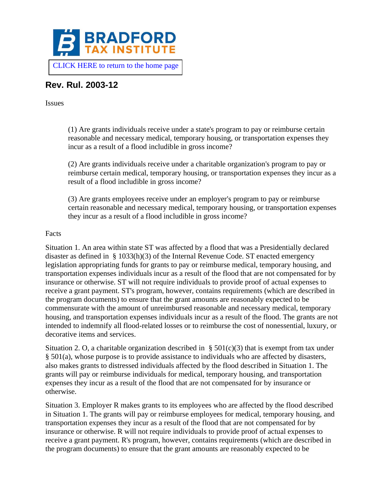

# **Rev. Rul. 2003-12**

Issues

(1) Are grants individuals receive under a state's program to pay or reimburse certain reasonable and necessary medical, temporary housing, or transportation expenses they incur as a result of a flood includible in gross income?

(2) Are grants individuals receive under a charitable organization's program to pay or reimburse certain medical, temporary housing, or transportation expenses they incur as a result of a flood includible in gross income?

(3) Are grants employees receive under an employer's program to pay or reimburse certain reasonable and necessary medical, temporary housing, or transportation expenses they incur as a result of a flood includible in gross income?

## Facts

Situation 1. An area within state ST was affected by a flood that was a Presidentially declared disaster as defined in § 1033(h)(3) of the Internal Revenue Code. ST enacted emergency legislation appropriating funds for grants to pay or reimburse medical, temporary housing, and transportation expenses individuals incur as a result of the flood that are not compensated for by insurance or otherwise. ST will not require individuals to provide proof of actual expenses to receive a grant payment. ST's program, however, contains requirements (which are described in the program documents) to ensure that the grant amounts are reasonably expected to be commensurate with the amount of unreimbursed reasonable and necessary medical, temporary housing, and transportation expenses individuals incur as a result of the flood. The grants are not intended to indemnify all flood-related losses or to reimburse the cost of nonessential, luxury, or decorative items and services.

Situation 2. O, a charitable organization described in  $\S$  501(c)(3) that is exempt from tax under § 501(a), whose purpose is to provide assistance to individuals who are affected by disasters, also makes grants to distressed individuals affected by the flood described in Situation 1. The grants will pay or reimburse individuals for medical, temporary housing, and transportation expenses they incur as a result of the flood that are not compensated for by insurance or otherwise.

Situation 3. Employer R makes grants to its employees who are affected by the flood described in Situation 1. The grants will pay or reimburse employees for medical, temporary housing, and transportation expenses they incur as a result of the flood that are not compensated for by insurance or otherwise. R will not require individuals to provide proof of actual expenses to receive a grant payment. R's program, however, contains requirements (which are described in the program documents) to ensure that the grant amounts are reasonably expected to be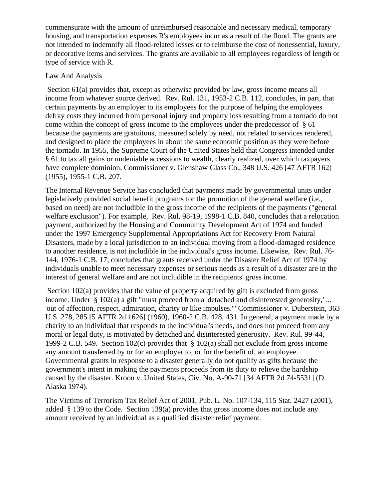commensurate with the amount of unreimbursed reasonable and necessary medical, temporary housing, and transportation expenses R's employees incur as a result of the flood. The grants are not intended to indemnify all flood-related losses or to reimburse the cost of nonessential, luxury, or decorative items and services. The grants are available to all employees regardless of length or type of service with R.

# Law And Analysis

Section 61(a) provides that, except as otherwise provided by law, gross income means all income from whatever source derived. Rev. Rul. 131, 1953-2 C.B. 112, concludes, in part, that certain payments by an employer to its employees for the purpose of helping the employees defray costs they incurred from personal injury and property loss resulting from a tornado do not come within the concept of gross income to the employees under the predecessor of  $\S$  61 because the payments are gratuitous, measured solely by need, not related to services rendered, and designed to place the employees in about the same economic position as they were before the tornado. In 1955, the Supreme Court of the United States held that Congress intended under § 61 to tax all gains or undeniable accessions to wealth, clearly realized, over which taxpayers have complete dominion. Commissioner v. Glenshaw Glass Co., 348 U.S. 426 [47 AFTR 162] (1955), 1955-1 C.B. 207.

The Internal Revenue Service has concluded that payments made by governmental units under legislatively provided social benefit programs for the promotion of the general welfare (i.e., based on need) are not includible in the gross income of the recipients of the payments ("general welfare exclusion"). For example, Rev. Rul. 98-19, 1998-1 C.B. 840, concludes that a relocation payment, authorized by the Housing and Community Development Act of 1974 and funded under the 1997 Emergency Supplemental Appropriations Act for Recovery From Natural Disasters, made by a local jurisdiction to an individual moving from a flood-damaged residence to another residence, is not includible in the individual's gross income. Likewise, Rev. Rul. 76- 144, 1976-1 C.B. 17, concludes that grants received under the Disaster Relief Act of 1974 by individuals unable to meet necessary expenses or serious needs as a result of a disaster are in the interest of general welfare and are not includible in the recipients' gross income.

Section 102(a) provides that the value of property acquired by gift is excluded from gross income. Under § 102(a) a gift "must proceed from a 'detached and disinterested generosity,' ... 'out of affection, respect, admiration, charity or like impulses.'" Commissioner v. Duberstein, 363 U.S. 278, 285 [5 AFTR 2d 1626] (1960), 1960-2 C.B. 428, 431. In general, a payment made by a charity to an individual that responds to the individual's needs, and does not proceed from any moral or legal duty, is motivated by detached and disinterested generosity. Rev. Rul. 99-44, 1999-2 C.B. 549. Section 102(c) provides that § 102(a) shall not exclude from gross income any amount transferred by or for an employer to, or for the benefit of, an employee. Governmental grants in response to a disaster generally do not qualify as gifts because the government's intent in making the payments proceeds from its duty to relieve the hardship caused by the disaster. Kroon v. United States, Civ. No. A-90-71 [34 AFTR 2d 74-5531] (D. Alaska 1974).

The Victims of Terrorism Tax Relief Act of 2001, Pub. L. No. 107-134, 115 Stat. 2427 (2001), added § 139 to the Code. Section 139(a) provides that gross income does not include any amount received by an individual as a qualified disaster relief payment.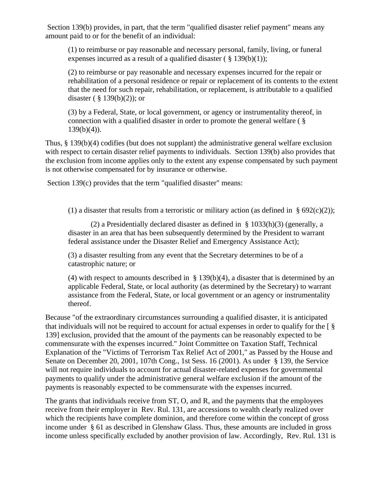Section 139(b) provides, in part, that the term "qualified disaster relief payment" means any amount paid to or for the benefit of an individual:

(1) to reimburse or pay reasonable and necessary personal, family, living, or funeral expenses incurred as a result of a qualified disaster  $(\S 139(b)(1))$ ;

(2) to reimburse or pay reasonable and necessary expenses incurred for the repair or rehabilitation of a personal residence or repair or replacement of its contents to the extent that the need for such repair, rehabilitation, or replacement, is attributable to a qualified disaster ( $\S$  139(b)(2)); or

(3) by a Federal, State, or local government, or agency or instrumentality thereof, in connection with a qualified disaster in order to promote the general welfare ( §  $139(b)(4)$ ).

Thus, § 139(b)(4) codifies (but does not supplant) the administrative general welfare exclusion with respect to certain disaster relief payments to individuals. Section 139(b) also provides that the exclusion from income applies only to the extent any expense compensated by such payment is not otherwise compensated for by insurance or otherwise.

Section 139(c) provides that the term "qualified disaster" means:

(1) a disaster that results from a terroristic or military action (as defined in  $\S 692(c)(2)$ );

(2) a Presidentially declared disaster as defined in  $\S$  1033(h)(3) (generally, a disaster in an area that has been subsequently determined by the President to warrant federal assistance under the Disaster Relief and Emergency Assistance Act);

(3) a disaster resulting from any event that the Secretary determines to be of a catastrophic nature; or

(4) with respect to amounts described in § 139(b)(4), a disaster that is determined by an applicable Federal, State, or local authority (as determined by the Secretary) to warrant assistance from the Federal, State, or local government or an agency or instrumentality thereof.

Because "of the extraordinary circumstances surrounding a qualified disaster, it is anticipated that individuals will not be required to account for actual expenses in order to qualify for the [ § 139] exclusion, provided that the amount of the payments can be reasonably expected to be commensurate with the expenses incurred." Joint Committee on Taxation Staff, Technical Explanation of the "Victims of Terrorism Tax Relief Act of 2001," as Passed by the House and Senate on December 20, 2001, 107th Cong., 1st Sess. 16 (2001). As under § 139, the Service will not require individuals to account for actual disaster-related expenses for governmental payments to qualify under the administrative general welfare exclusion if the amount of the payments is reasonably expected to be commensurate with the expenses incurred.

The grants that individuals receive from ST, O, and R, and the payments that the employees receive from their employer in Rev. Rul. 131, are accessions to wealth clearly realized over which the recipients have complete dominion, and therefore come within the concept of gross income under § 61 as described in Glenshaw Glass. Thus, these amounts are included in gross income unless specifically excluded by another provision of law. Accordingly, Rev. Rul. 131 is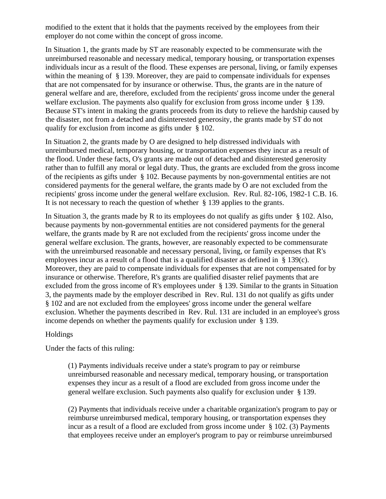modified to the extent that it holds that the payments received by the employees from their employer do not come within the concept of gross income.

In Situation 1, the grants made by ST are reasonably expected to be commensurate with the unreimbursed reasonable and necessary medical, temporary housing, or transportation expenses individuals incur as a result of the flood. These expenses are personal, living, or family expenses within the meaning of § 139. Moreover, they are paid to compensate individuals for expenses that are not compensated for by insurance or otherwise. Thus, the grants are in the nature of general welfare and are, therefore, excluded from the recipients' gross income under the general welfare exclusion. The payments also qualify for exclusion from gross income under § 139. Because ST's intent in making the grants proceeds from its duty to relieve the hardship caused by the disaster, not from a detached and disinterested generosity, the grants made by ST do not qualify for exclusion from income as gifts under § 102.

In Situation 2, the grants made by O are designed to help distressed individuals with unreimbursed medical, temporary housing, or transportation expenses they incur as a result of the flood. Under these facts, O's grants are made out of detached and disinterested generosity rather than to fulfill any moral or legal duty. Thus, the grants are excluded from the gross income of the recipients as gifts under § 102. Because payments by non-governmental entities are not considered payments for the general welfare, the grants made by O are not excluded from the recipients' gross income under the general welfare exclusion. Rev. Rul. 82-106, 1982-1 C.B. 16. It is not necessary to reach the question of whether § 139 applies to the grants.

In Situation 3, the grants made by R to its employees do not qualify as gifts under § 102. Also, because payments by non-governmental entities are not considered payments for the general welfare, the grants made by R are not excluded from the recipients' gross income under the general welfare exclusion. The grants, however, are reasonably expected to be commensurate with the unreimbursed reasonable and necessary personal, living, or family expenses that R's employees incur as a result of a flood that is a qualified disaster as defined in § 139(c). Moreover, they are paid to compensate individuals for expenses that are not compensated for by insurance or otherwise. Therefore, R's grants are qualified disaster relief payments that are excluded from the gross income of R's employees under § 139. Similar to the grants in Situation 3, the payments made by the employer described in Rev. Rul. 131 do not qualify as gifts under § 102 and are not excluded from the employees' gross income under the general welfare exclusion. Whether the payments described in Rev. Rul. 131 are included in an employee's gross income depends on whether the payments qualify for exclusion under § 139.

## Holdings

Under the facts of this ruling:

(1) Payments individuals receive under a state's program to pay or reimburse unreimbursed reasonable and necessary medical, temporary housing, or transportation expenses they incur as a result of a flood are excluded from gross income under the general welfare exclusion. Such payments also qualify for exclusion under § 139.

(2) Payments that individuals receive under a charitable organization's program to pay or reimburse unreimbursed medical, temporary housing, or transportation expenses they incur as a result of a flood are excluded from gross income under § 102. (3) Payments that employees receive under an employer's program to pay or reimburse unreimbursed